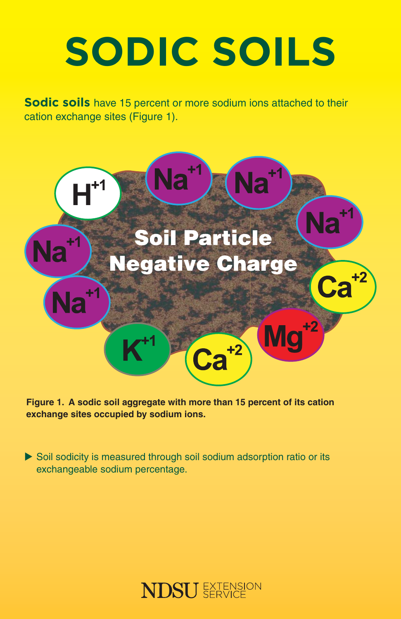# **SODIC SOILS**

**Sodic soils** have 15 percent or more sodium ions attached to their cation exchange sites (Figure 1).



**Figure 1. A sodic soil aggregate with more than 15 percent of its cation exchange sites occupied by sodium ions.**

 $\triangleright$  Soil sodicity is measured through soil sodium adsorption ratio or its exchangeable sodium percentage.

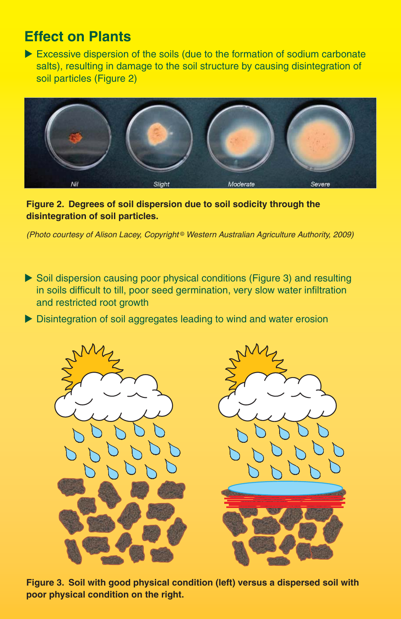### **Effect on Plants**

 $\blacktriangleright$  Excessive dispersion of the soils (due to the formation of sodium carbonate salts), resulting in damage to the soil structure by causing disintegration of soil particles (Figure 2)



**Figure 2. Degrees of soil dispersion due to soil sodicity through the disintegration of soil particles.**

(Photo courtesy of Alison Lacey, Copyright<sup>®</sup> Western Australian Agriculture Authority, 2009)

- $\triangleright$  Soil dispersion causing poor physical conditions (Figure 3) and resulting in soils difficult to till, poor seed germination, very slow water infiltration and restricted root growth
- $\triangleright$  Disintegration of soil aggregates leading to wind and water erosion



**Figure 3. Soil with good physical condition (left) versus a dispersed soil with poor physical condition on the right.**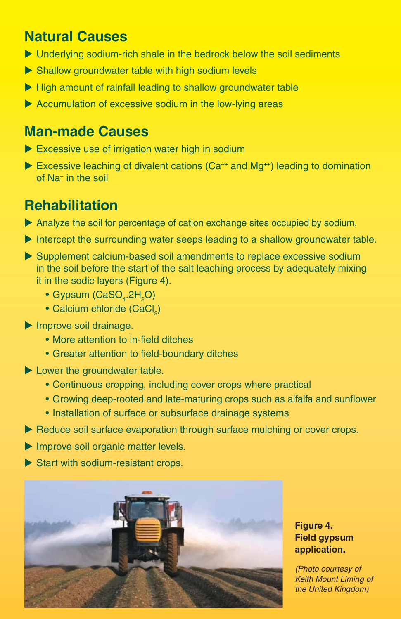## **Natural Causes**

- $\blacktriangleright$  Underlying sodium-rich shale in the bedrock below the soil sediments
- $\triangleright$  Shallow groundwater table with high sodium levels
- $\blacktriangleright$  High amount of rainfall leading to shallow groundwater table
- $\blacktriangleright$  Accumulation of excessive sodium in the low-lying areas

### **Man-made Causes**

- $\blacktriangleright$  Excessive use of irrigation water high in sodium
- Excessive leaching of divalent cations ( $Ca^{++}$  and  $Mg^{++}$ ) leading to domination of Na+ in the soil

## **Rehabilitation**

- Analyze the soil for percentage of cation exchange sites occupied by sodium.
- Intercept the surrounding water seeps leading to a shallow groundwater table.
- $\triangleright$  Supplement calcium-based soil amendments to replace excessive sodium in the soil before the start of the salt leaching process by adequately mixing it in the sodic layers (Figure 4).
- Gypsum (CaSO $_4$ .2H $_2$ O)
- Calcium chloride  $(CaCl<sub>2</sub>)$
- $\blacktriangleright$  Improve soil drainage.
	- More attention to in-field ditches
	- Greater attention to field-boundary ditches
- $\blacktriangleright$  Lower the groundwater table.
	- Continuous cropping, including cover crops where practical
	- Growing deep-rooted and late-maturing crops such as alfalfa and sunflower
	- Installation of surface or subsurface drainage systems
- $\blacktriangleright$  Reduce soil surface evaporation through surface mulching or cover crops.
- $\blacktriangleright$  Improve soil organic matter levels.
- $\blacktriangleright$  Start with sodium-resistant crops.



### **Figure 4. Field gypsum application.**

(Photo courtesy of Keith Mount Liming of the United Kingdom)